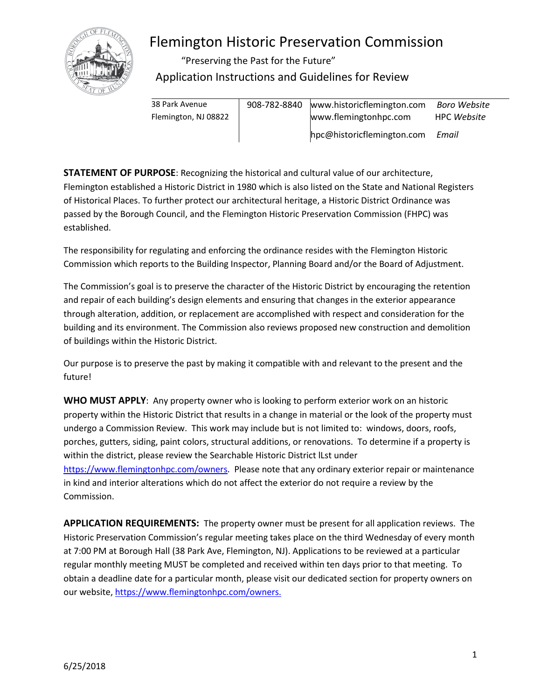

# Flemington Historic Preservation Commission

"Preserving the Past for the Future" Application Instructions and Guidelines for Review

| 38 Park Avenue       | 908-782-8840 | www.historicflemington.com | Boro Website       |
|----------------------|--------------|----------------------------|--------------------|
| Flemington, NJ 08822 |              | www.flemingtonhpc.com      | <b>HPC Website</b> |
|                      |              | hpc@historicflemington.com | Email              |

**STATEMENT OF PURPOSE**: Recognizing the historical and cultural value of our architecture, Flemington established a Historic District in 1980 which is also listed on the State and National Registers of Historical Places. To further protect our architectural heritage, a Historic District Ordinance was passed by the Borough Council, and the Flemington Historic Preservation Commission (FHPC) was established.

The responsibility for regulating and enforcing the ordinance resides with the Flemington Historic Commission which reports to the Building Inspector, Planning Board and/or the Board of Adjustment.

The Commission's goal is to preserve the character of the Historic District by encouraging the retention and repair of each building's design elements and ensuring that changes in the exterior appearance through alteration, addition, or replacement are accomplished with respect and consideration for the building and its environment. The Commission also reviews proposed new construction and demolition of buildings within the Historic District.

Our purpose is to preserve the past by making it compatible with and relevant to the present and the future!

**WHO MUST APPLY**: Any property owner who is looking to perform exterior work on an historic property within the Historic District that results in a change in material or the look of the property must undergo a Commission Review. This work may include but is not limited to: windows, doors, roofs, porches, gutters, siding, paint colors, structural additions, or renovations. To determine if a property is within the district, please review the Searchable Historic District lLst under [https://www.flemingtonhpc.com/owners.](https://www.flemingtonhpc.com/owners) Please note that any ordinary exterior repair or maintenance in kind and interior alterations which do not affect the exterior do not require a review by the Commission.

**APPLICATION REQUIREMENTS:** The property owner must be present for all application reviews. The Historic Preservation Commission's regular meeting takes place on the third Wednesday of every month at 7:00 PM at Borough Hall (38 Park Ave, Flemington, NJ). Applications to be reviewed at a particular regular monthly meeting MUST be completed and received within ten days prior to that meeting. To obtain a deadline date for a particular month, please visit our dedicated section for property owners on our website, [https://www.flemingtonhpc.com/owners.](https://www.flemingtonhpc.com/owners)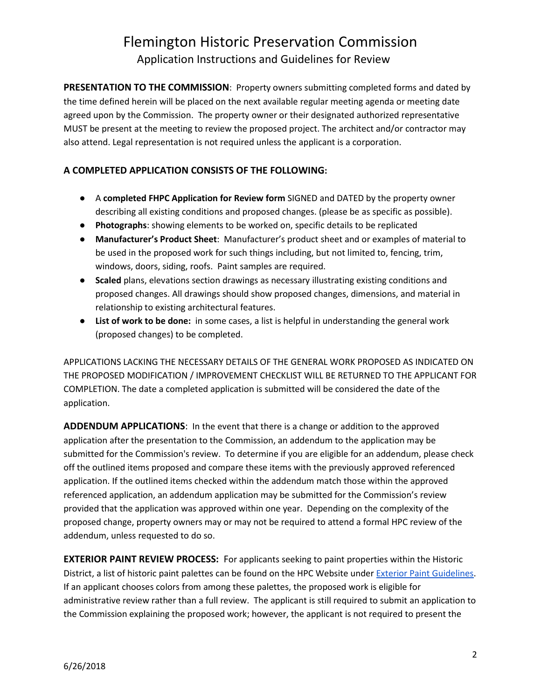### Flemington Historic Preservation Commission Application Instructions and Guidelines for Review

**PRESENTATION TO THE COMMISSION**: Property owners submitting completed forms and dated by the time defined herein will be placed on the next available regular meeting agenda or meeting date agreed upon by the Commission. The property owner or their designated authorized representative MUST be present at the meeting to review the proposed project. The architect and/or contractor may also attend. Legal representation is not required unless the applicant is a corporation.

#### **A COMPLETED APPLICATION CONSISTS OF THE FOLLOWING:**

- A **completed FHPC Application for Review form** SIGNED and DATED by the property owner describing all existing conditions and proposed changes. (please be as specific as possible).
- **Photographs**: showing elements to be worked on, specific details to be replicated
- **Manufacturer's Product Sheet**: Manufacturer's product sheet and or examples of material to be used in the proposed work for such things including, but not limited to, fencing, trim, windows, doors, siding, roofs. Paint samples are required.
- **Scaled** plans, elevations section drawings as necessary illustrating existing conditions and proposed changes. All drawings should show proposed changes, dimensions, and material in relationship to existing architectural features.
- **List of work to be done:** in some cases, a list is helpful in understanding the general work (proposed changes) to be completed.

APPLICATIONS LACKING THE NECESSARY DETAILS OF THE GENERAL WORK PROPOSED AS INDICATED ON THE PROPOSED MODIFICATION / IMPROVEMENT CHECKLIST WILL BE RETURNED TO THE APPLICANT FOR COMPLETION. The date a completed application is submitted will be considered the date of the application.

**ADDENDUM APPLICATIONS**: In the event that there is a change or addition to the approved application after the presentation to the Commission, an addendum to the application may be submitted for the Commission's review. To determine if you are eligible for an addendum, please check off the outlined items proposed and compare these items with the previously approved referenced application. If the outlined items checked within the addendum match those within the approved referenced application, an addendum application may be submitted for the Commission's review provided that the application was approved within one year. Depending on the complexity of the proposed change, property owners may or may not be required to attend a formal HPC review of the addendum, unless requested to do so.

**EXTERIOR PAINT REVIEW PROCESS:** For applicants seeking to paint properties within the Historic District, a list of historic paint palettes can be found on the HPC Website under [Exterior Paint Guidelines.](https://docs.wixstatic.com/ugd/6602db_76be0caead85488e948145eae1af2076.pdf) If an applicant chooses colors from among these palettes, the proposed work is eligible for administrative review rather than a full review. The applicant is still required to submit an application to the Commission explaining the proposed work; however, the applicant is not required to present the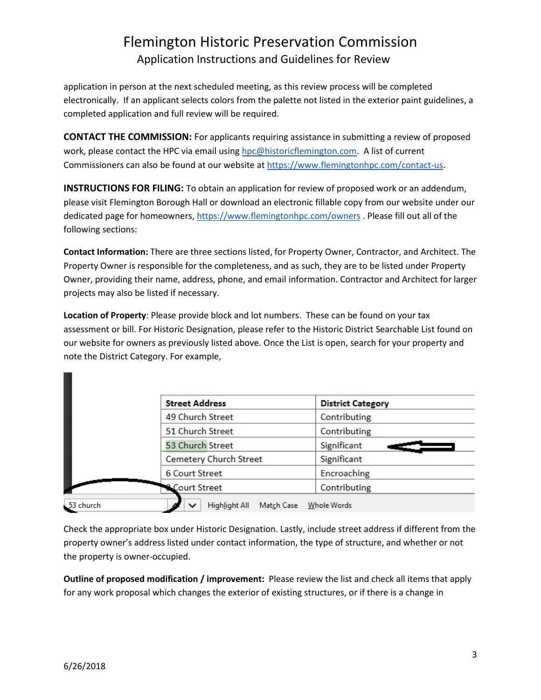## Flemington Historic Preservation Commission Application Instructions and Guidelines for Review

application in person at the next scheduled meeting, as this review process will be completed electronically. If an applicant selects colors from the palette not listed in the exterior paint guidelines, a completed application and full review will be required.

**CONTACT THE COMMISSION:** For applicants requiring assistance in submitting a review of proposed work, please contact the HPC via email usin[g hpc@historicflemington.com.](mailto:hpc@historicflemington.com) A list of current Commissioners can also be found at our website at [https://www.flemingtonhpc.com/contact-us.](https://www.flemingtonhpc.com/contact-us)

**INSTRUCTIONS FOR FILING:** To obtain an application for review of proposed work or an addendum, please visit Flemington Borough Hall or download an electronic fillable copy from our website under our dedicated page for homeowners, <https://www.flemingtonhpc.com/owners> . Please fill out all of the following sections:

**Contact Information:** There are three sections listed, for Property Owner, Contractor, and Architect. The Property Owner is responsible for the completeness, and as such, they are to be listed under Property Owner, providing their name, address, phone, and email information. Contractor and Architect for larger projects may also be listed if necessary.

**Location of Property**: Please provide block and lot numbers. These can be found on your tax assessment or bill. For Historic Designation, please refer to the Historic District Searchable List found on our website for owners as previously listed above. Once the List is open, search for your property and note the District Category. For example,

| <b>Street Address</b>         | <b>District Category</b> |
|-------------------------------|--------------------------|
| 49 Church Street              | Contributing             |
| 51 Church Street              | Contributing             |
| 53 Church Street              | Significant              |
| <b>Cemetery Church Street</b> | Significant              |
| <b>6 Court Street</b>         | Encroaching              |
| <b>Court Street</b>           | Contributing             |

Check the appropriate box under Historic Designation. Lastly, include street address if different from the property owner's address listed under contact information, the type of structure, and whether or not the property is owner-occupied.

**Outline of proposed modification / improvement:** Please review the list and check all items that apply for any work proposal which changes the exterior of existing structures, or if there is a change in

m.